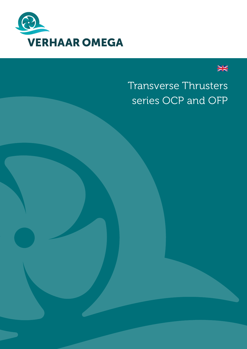



# Transverse Thrusters series OCP and OFP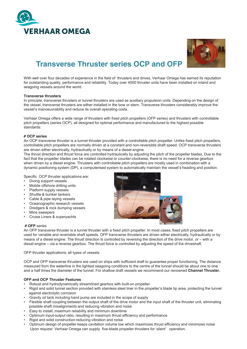



# **Transverse Thruster series OCP and OFP**

With well over four decades of experience in the field of thrusters and drives. Verhaar Omega has earned its reputation for outstanding quality, performance and reliability. Today over 4000 thruster units have been installed on inland and seagoing vessels around the world.

#### **Transverse thrusters**

In principle, transverse thrusters or tunnel thrusters are used as auxiliary propulsion units. Depending on the design of the vessel, transverse thrusters are either installed in the bow or stern. Transverse thrusters considerably improve the vessel's manoeuvrability and reduce its overall operating costs.

Verhaar Omega offers a wide range of thrusters with fixed pitch propellers (OFP series) and thrusters with controllable pitch propellers (series OCP), all designed for optimal performance and manufactured to the highest possible standards:

#### # OCP series

An OCP transverse thruster is a tunnel thruster provided with a controllable pitch propeller. Unlike fixed pitch propellers, controllable pitch propellers are normally driven at a constant and non-reversible shaft speed. OCP transverse thrusters are driven either electrically, hydraulically or by means of a diesel engine.

The thrust direction and thrust force are controlled hydraulically by adjusting the pitch of the propeller blades. Due to the fact that the propeller blades can be rotated clockwise or counter-clockwise, there is no need for a reverse gearbox when driven by a diesel engine. Thrusters with controllable pitch propellers are mostly used in combination with a dynamic positioning system (DP), a computerised system to automatically maintain the vessel's heading and position.

Specific OCP thruster applications are:

- Diving support vessels
- Mobile offshore drilling units
- Platform supply vessels
- Shuttle & bunker tankers
- Cable & pipe laying vessels  $\sim$
- Oceanographic research vessels  $\bullet$
- $\ddot{\phantom{0}}$ Dredgers & rock dumping vessels
- $\bullet$ Mine sweepers
- Cruise Liners & supervachts  $\bullet$

#### # OFP series

An OFP transverse thruster is a tunnel thruster with a fixed pitch propeller. In most cases, fixed pitch propellers are used for variable and reversible shaft speeds. OFP transverse thrusters are driven either electrically, hydraulically or by means of a diesel engine. The thrust direction is controlled by reversing the direction of the drive motor, or – with a diesel engine – via a reverse gearbox. The thrust force is controlled by adjusting the speed of the driveshaft.

OFP thruster applications: all types of vessels

OCP and OFP transverse thrusters are used on ships with sufficient draft to quarantee proper functioning. The distance measured from the waterline in the lightest seagoing conditions to the centre of the tunnel should be about one to one and a half times the diameter of the tunnel. For shallow draft vessels we recommend our renowned Channel Thruster.

#### **OFP and OCP Thruster Features**

- Robust and hydrodynamically streamlined gearbox with built-on propeller
- Rigid and solid tunnel section provided with stainless steel liner in the propeller's blade tip area, protecting the tunnel  $\bullet$ against electrolytic corrosion
- Gravity oil tank including hand pump are included in the scope of supply
- . Flexible shaft coupling between the output shaft of the drive motor and the input shaft of the thruster unit, eliminating possible shaft misalignments and reducing vibration and noise
- Easy to install, maximum reliability and minimum downtime
- Optimum input-output ratio, resulting in maximum thrust efficiency and performance
- Rigid and solid construction reducing vibration and noise
- Optimum design of propeller keeps cavitation volume low which maximizes thrust efficiency and minimizes noise Upon request Verhaar Omega can supply five-blade propeller thrusters for 'silent' operation.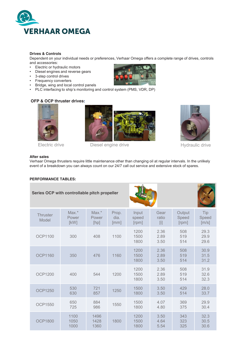

# **Drives & Controls**

Dependent on your individual needs or preferences, Verhaar Omega offers a complete range of drives, controls and accessories:

- Electric or hydraulic motors  $\bullet$
- Diesel engines and reverse gears
- $\ddot{\phantom{0}}$ 3-step control drives
- Frequency converters
- Bridge, wing and local control panels
- PLC interfacing to ship's monitoring and control system (PMS, VDR, DP)

# **OFP & OCP thruster drives:**



Hydraulic drive

# Electric drive

# **After sales**

Verhaar Omega thrusters require little maintenance other than changing oil at regular intervals. In the unlikely event of a breakdown you can always count on our 24/7 call out service and extensive stock of spares.

Diesel engine drive

# **PERFORMANCE TABLES:**

| Series OCP with controllable pitch propeller |                          |                          |                       |                         |                      |                          |                       |
|----------------------------------------------|--------------------------|--------------------------|-----------------------|-------------------------|----------------------|--------------------------|-----------------------|
| <b>Thruster</b><br>Model                     | $Max.*$<br>Power<br>[KW] | $Max.*$<br>Power<br>[hp] | Prop.<br>dia.<br>[mm] | Input<br>speed<br>[rpm] | Gear<br>ratio<br>[1] | Output<br>Speed<br>[rpm] | Tip<br>Speed<br>[m/s] |
| <b>OCP1100</b>                               | 300                      | 408                      | 1100                  | 1200<br>1500<br>1800    | 2.36<br>2.89<br>3.50 | 508<br>519<br>514        | 29.3<br>29.9<br>29.6  |
| <b>OCP1160</b>                               | 350                      | 476                      | 1160                  | 1200<br>1500<br>1800    | 2.36<br>2.89<br>3.50 | 508<br>519<br>514        | 30.9<br>31.5<br>31.2  |
| <b>OCP1200</b>                               | 400                      | 544                      | 1200                  | 1200<br>1500<br>1800    | 2.36<br>2.89<br>3.50 | 508<br>519<br>514        | 31.9<br>32.6<br>32.3  |
| <b>OCP1250</b>                               | 530<br>630               | 721<br>857               | 1250                  | 1500<br>1800            | 3.50<br>3.50         | 429<br>514               | 28.0<br>33.7          |
| <b>OCP1550</b>                               | 650<br>725               | 884<br>986               | 1550                  | 1500<br>1800            | 4.07<br>4.80         | 369<br>375               | 29.9<br>30.4          |
| <b>OCP1800</b>                               | 1100<br>1050<br>1000     | 1496<br>1428<br>1360     | 1800                  | 1200<br>1500<br>1800    | 3.50<br>4.64<br>5.54 | 343<br>323<br>325        | 32.3<br>30.5<br>30.6  |

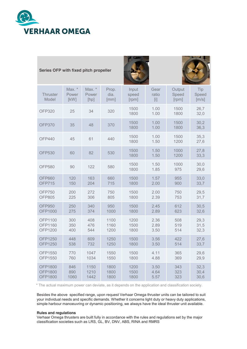

| Series OFP with fixed pitch propeller |                         |                         |                       |                         |                              |                          |                       |  |  |
|---------------------------------------|-------------------------|-------------------------|-----------------------|-------------------------|------------------------------|--------------------------|-----------------------|--|--|
| Thruster<br>Model                     | Max. *<br>Power<br>[KW] | Max. *<br>Power<br>[hp] | Prop.<br>dia.<br>[mm] | Input<br>speed<br>[rpm] | Gear<br>ratio<br>$[{\sf i}]$ | Output<br>Speed<br>[rpm] | Tip<br>Speed<br>[m/s] |  |  |
| <b>OFP320</b>                         | 25                      | 34                      | 320                   | 1500<br>1800            | 1.00<br>1.00                 | 1500<br>1800             | 26,7<br>32,0          |  |  |
| <b>OFP370</b>                         | 35                      | 48                      | 370                   | 1500<br>1800            | 1.00<br>1.00                 | 1500<br>1800             | 30,2<br>36,3          |  |  |
| <b>OFP440</b>                         | 45                      | 61                      | 440                   | 1500<br>1800            | 1.00<br>1.50                 | 1500<br>1200             | 35,3<br>27,6          |  |  |
| <b>OFP530</b>                         | 60                      | 82                      | 530                   | 1500<br>1800            | 1.50<br>1.50                 | 1000<br>1200             | 27,8<br>33,3          |  |  |
| <b>OFP580</b>                         | 90                      | 122                     | 580                   | 1500<br>1800            | 1.50<br>1.85                 | 1000<br>975              | 30,0<br>29,6          |  |  |
| <b>OFP660</b>                         | 120                     | 163                     | 660                   | 1500                    | 1.57                         | 955                      | 33,0                  |  |  |
| <b>OFP715</b>                         | 150                     | 204                     | 715                   | 1800                    | 2.00                         | 900                      | 33,7                  |  |  |
| <b>OFP750</b>                         | 200                     | 272                     | 750                   | 1500                    | 2.00                         | 750                      | 29,5                  |  |  |
| <b>OFP805</b>                         | 225                     | 306                     | 805                   | 1800                    | 2.39                         | 753                      | 31,7                  |  |  |
| <b>OFP950</b>                         | 250                     | 340                     | 950                   | 1500                    | 2.45                         | 612                      | 30,5                  |  |  |
| <b>OFP1000</b>                        | 275                     | 374                     | 1000                  | 1800                    | 2.89                         | 623                      | 32,6                  |  |  |
| OFP1100                               | 300                     | 408                     | 1100                  | 1200                    | 2.36                         | 508                      | 29,3                  |  |  |
| OFP1160                               | 350                     | 476                     | 1160                  | 1500                    | 2.89                         | 519                      | 31,5                  |  |  |
| <b>OFP1200</b>                        | 400                     | 544                     | 1200                  | 1800                    | 3.50                         | 514                      | 32,3                  |  |  |
| <b>OFP1250</b>                        | 448                     | 609                     | 1250                  | 1500                    | 3.56                         | 422                      | 27,6                  |  |  |
| <b>OFP1250</b>                        | 538                     | 732                     | 1250                  | 1800                    | 3.50                         | 514                      | 33,7                  |  |  |
| OFP1550                               | 770                     | 1047                    | 1550                  | 1500                    | 4.11                         | 365                      | 29,6                  |  |  |
| OFP1550                               | 760                     | 1034                    | 1550                  | 1800                    | 4.88                         | 369                      | 29,9                  |  |  |
| <b>OFP1800</b>                        | 846                     | 1150                    | 1800                  | 1200                    | 3.50                         | 343                      | 32,3                  |  |  |
| <b>OFP1800</b>                        | 890                     | 1210                    | 1800                  | 1500                    | 4.64                         | 323                      | 30,4                  |  |  |
| <b>OFP1800</b>                        | 1060                    | 1442                    | 1800                  | 1800                    | 5.57                         | 323                      | 30,6                  |  |  |

\* The actual maximum power can deviate, as it depends on the application and classification society.

Besides the above specified range, upon request Verhaar Omega thruster units can be tailored to suit your individual needs and specific demands. Whether it concerns light duty or heavy duty applications, simple harbour manoeuvring or dynamic positioning, we always have the ideal thruster unit available.

# **Rules and regulations**

Verhaar Omega thrusters are built fully in accordance with the rules and regulations set by the major classification societies such as LRS, GL, BV, DNV, ABS, RINA and RMRS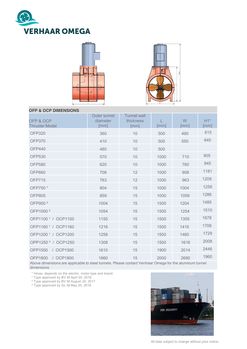





# **OFP & OCP DIMENSIONS**

| OFP & OCP<br><b>Thruster Model</b> | Outer tunnel<br>diameter<br>[mm] | <b>Tunnel wall</b><br>thickness<br>[mm] | [mm] | W<br>$\lceil mm \rceil$ | $H1*$<br>$\lceil mm \rceil$ |
|------------------------------------|----------------------------------|-----------------------------------------|------|-------------------------|-----------------------------|
| <b>OFP320</b>                      | 360                              | 10                                      | 500  | 490                     | 615                         |
| <b>OFP370</b>                      | 410                              | 10                                      | 500  | 550                     | 645                         |
| <b>OFP440</b>                      | 480                              | 10                                      | 500  |                         |                             |
| <b>OFP530</b>                      | 570                              | 10                                      | 1000 | 710                     | 905                         |
| <b>OFP580</b>                      | 620                              | 10                                      | 1000 | 760                     | 945                         |
| <b>OFP660</b>                      | 708                              | 12                                      | 1000 | 908                     | 1181                        |
| <b>OFP715</b>                      | 763                              | 12                                      | 1000 | 963                     | 1209                        |
| OFP750 <sup>1</sup>                | 804                              | 15                                      | 1000 | 1004                    | 1259                        |
| <b>OFP805</b>                      | 859                              | 15                                      | 1000 | 1059                    | 1286                        |
| OFP950 <sup>2</sup>                | 1004                             | 15                                      | 1500 | 1204                    | 1485                        |
| OFP1000 <sup>2</sup>               | 1054                             | 15                                      | 1500 | 1254                    | 1510                        |
| OFP1100 <sup>1</sup> / OCP1100     | 1155                             | 15                                      | 1500 | 1355                    | 1678                        |
| OFP1160 <sup>1</sup> / OCP1160     | 1216                             | 15                                      | 1500 | 1416                    | 1708                        |
| OFP1200 <sup>1</sup> / OCP1200     | 1258                             | 15                                      | 1500 | 1460                    | 1729                        |
| OPP1250 <sup>3</sup> / OCP1250     | 1308                             | 15                                      | 1500 | 1616                    | 2008                        |
| <b>OFP1550</b><br>/ OCP1500        | 1610                             | 15                                      | 1900 | 2014                    | 2446                        |
| <b>OFP1800</b><br>/ OCP1800        | 1860                             | 15                                      | 2000 | 2690                    | 1960                        |

Above dimensions are applicable to steel tunnels. Please contact Verrhaar Omega for the aluminum tunnel dimensions.

\* Hmax. depends on the electric motor type and brand.<br>1 Type approved by BV till April 20, 2016<br>2 Type approved by BV till August 24, 2017<br>3 Type approved by GL till May 20, 2018



All data subject to change without prior notice.